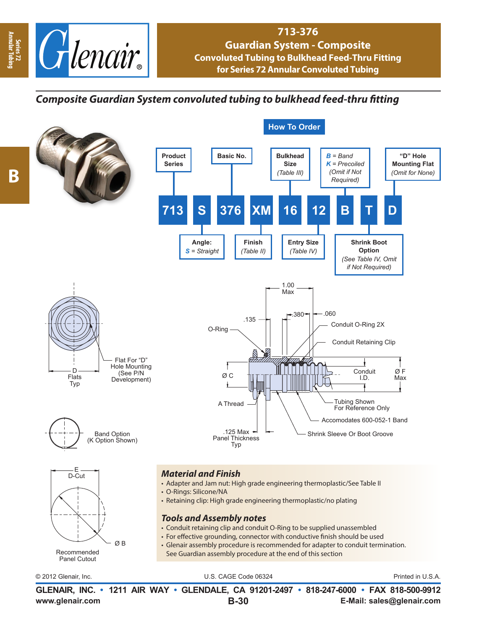

## **713-376 Guardian System - Composite Convoluted Tubing to Bulkhead Feed-Thru Fitting for Series 72 Annular Convoluted Tubing**

## *Composite Guardian System convoluted tubing to bulkhead feed-thru fitting*



**Annular Tubing**